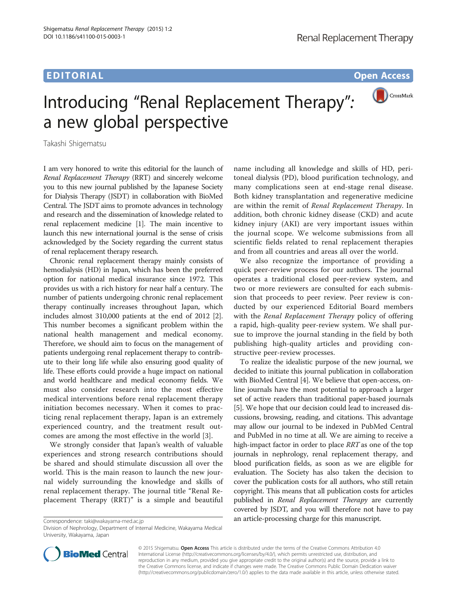## EDITORIAL CONTRACT CONTRACT CONTRACT CONTRACT CONTRACT CONTRACT CONTRACT CONTRACT CONTRACT CONTRACT CONTRACT CO



## Introducing "Renal Replacement Therapy": a new global perspective

Takashi Shigematsu

I am very honored to write this editorial for the launch of Renal Replacement Therapy (RRT) and sincerely welcome you to this new journal published by the Japanese Society for Dialysis Therapy (JSDT) in collaboration with BioMed Central. The JSDT aims to promote advances in technology and research and the dissemination of knowledge related to renal replacement medicine [\[1](#page-1-0)]. The main incentive to launch this new international journal is the sense of crisis acknowledged by the Society regarding the current status of renal replacement therapy research.

Chronic renal replacement therapy mainly consists of hemodialysis (HD) in Japan, which has been the preferred option for national medical insurance since 1972. This provides us with a rich history for near half a century. The number of patients undergoing chronic renal replacement therapy continually increases throughout Japan, which includes almost 310,000 patients at the end of 2012 [[2](#page-1-0)]. This number becomes a significant problem within the national health management and medical economy. Therefore, we should aim to focus on the management of patients undergoing renal replacement therapy to contribute to their long life while also ensuring good quality of life. These efforts could provide a huge impact on national and world healthcare and medical economy fields. We must also consider research into the most effective medical interventions before renal replacement therapy initiation becomes necessary. When it comes to practicing renal replacement therapy, Japan is an extremely experienced country, and the treatment result outcomes are among the most effective in the world [\[3](#page-1-0)].

We strongly consider that Japan's wealth of valuable experiences and strong research contributions should be shared and should stimulate discussion all over the world. This is the main reason to launch the new journal widely surrounding the knowledge and skills of renal replacement therapy. The journal title "Renal Replacement Therapy (RRT)" is a simple and beautiful

name including all knowledge and skills of HD, peritoneal dialysis (PD), blood purification technology, and many complications seen at end-stage renal disease. Both kidney transplantation and regenerative medicine are within the remit of Renal Replacement Therapy. In addition, both chronic kidney disease (CKD) and acute kidney injury (AKI) are very important issues within the journal scope. We welcome submissions from all scientific fields related to renal replacement therapies and from all countries and areas all over the world.

We also recognize the importance of providing a quick peer-review process for our authors. The journal operates a traditional closed peer-review system, and two or more reviewers are consulted for each submission that proceeds to peer review. Peer review is conducted by our experienced Editorial Board members with the *Renal Replacement Therapy* policy of offering a rapid, high-quality peer-review system. We shall pursue to improve the journal standing in the field by both publishing high-quality articles and providing constructive peer-review processes.

To realize the idealistic purpose of the new journal, we decided to initiate this journal publication in collaboration with BioMed Central [\[4](#page-1-0)]. We believe that open-access, online journals have the most potential to approach a larger set of active readers than traditional paper-based journals [[5\]](#page-1-0). We hope that our decision could lead to increased discussions, browsing, reading, and citations. This advantage may allow our journal to be indexed in PubMed Central and PubMed in no time at all. We are aiming to receive a high-impact factor in order to place RRT as one of the top journals in nephrology, renal replacement therapy, and blood purification fields, as soon as we are eligible for evaluation. The Society has also taken the decision to cover the publication costs for all authors, who still retain copyright. This means that all publication costs for articles published in Renal Replacement Therapy are currently covered by JSDT, and you will therefore not have to pay an article-processing charge for this manuscript. Correspondence: [taki@wakayama-med.ac.jp](mailto:taki@wakayama-med.ac.jp)

Division of Nephrology, Department of Internal Medicine, Wakayama Medical University, Wakayama, Japan



© 2015 Shigematsu. Open Access This article is distributed under the terms of the Creative Commons Attribution 4.0 International License [\(http://creativecommons.org/licenses/by/4.0/](http://creativecommons.org/licenses/by/4.0/)), which permits unrestricted use, distribution, and reproduction in any medium, provided you give appropriate credit to the original author(s) and the source, provide a link to the Creative Commons license, and indicate if changes were made. The Creative Commons Public Domain Dedication waiver [\(http://creativecommons.org/publicdomain/zero/1.0/](http://creativecommons.org/publicdomain/zero/1.0/)) applies to the data made available in this article, unless otherwise stated.